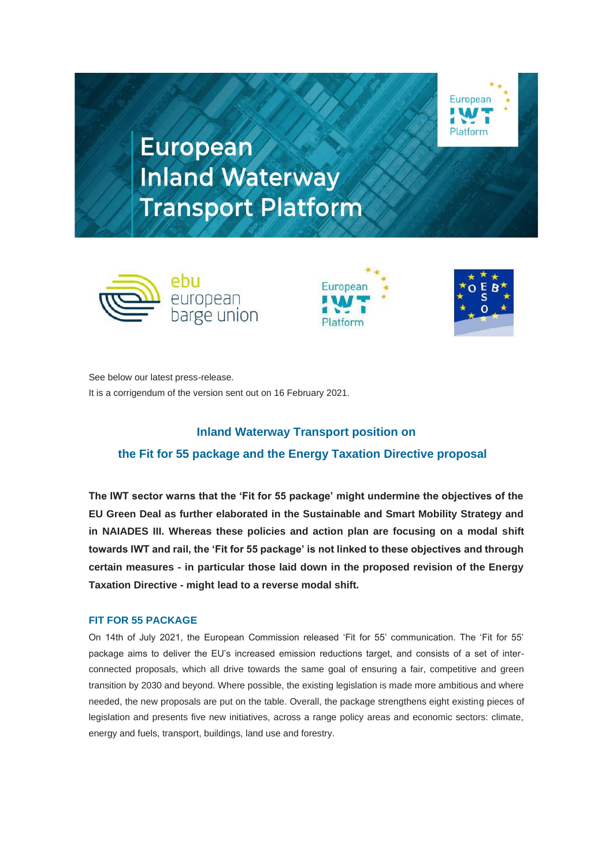

**European Inland Waterway Transport Platform** 







See below our latest press-release. It is a corrigendum of the version sent out on 16 February 2021.

# **Inland Waterway Transport position on the Fit for 55 package and the Energy Taxation Directive proposal**

**The IWT sector warns that the 'Fit for 55 package' might undermine the objectives of the EU Green Deal as further elaborated in the Sustainable and Smart Mobility Strategy and in NAIADES III. Whereas these policies and action plan are focusing on a modal shift towards IWT and rail, the 'Fit for 55 package' is not linked to these objectives and through certain measures - in particular those laid down in the proposed revision of the Energy Taxation Directive - might lead to a reverse modal shift.** 

# **FIT FOR 55 PACKAGE**

On 14th of July 2021, the European Commission released 'Fit for 55' communication. The 'Fit for 55' package aims to deliver the EU's increased emission reductions target, and consists of a set of interconnected proposals, which all drive towards the same goal of ensuring a fair, competitive and green transition by 2030 and beyond. Where possible, the existing legislation is made more ambitious and where needed, the new proposals are put on the table. Overall, the package strengthens eight existing pieces of legislation and presents five new initiatives, across a range policy areas and economic sectors; climate, energy and fuels, transport, buildings, land use and forestry.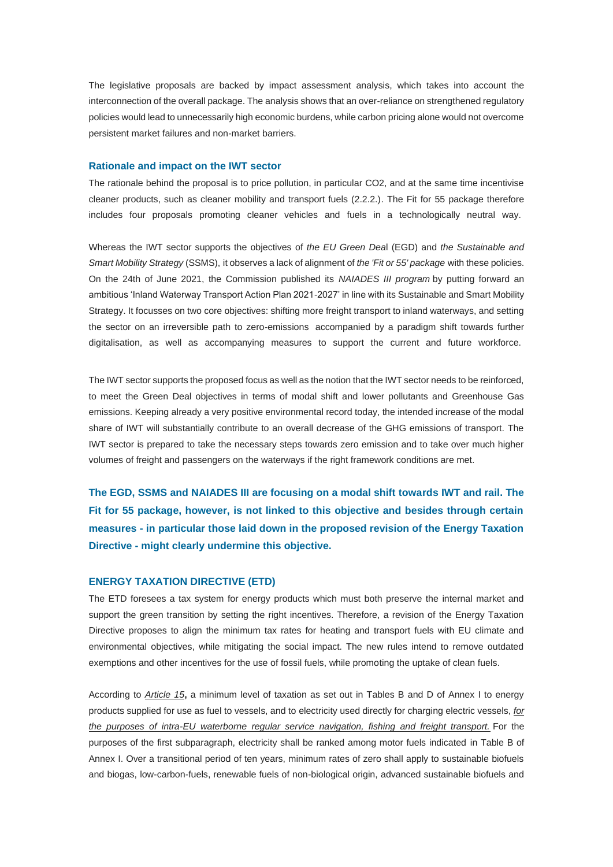The legislative proposals are backed by impact assessment analysis, which takes into account the interconnection of the overall package. The analysis shows that an over-reliance on strengthened regulatory policies would lead to unnecessarily high economic burdens, while carbon pricing alone would not overcome persistent market failures and non-market barriers.

#### **Rationale and impact on the IWT sector**

The rationale behind the proposal is to price pollution, in particular CO2, and at the same time incentivise cleaner products, such as cleaner mobility and transport fuels (2.2.2.). The Fit for 55 package therefore includes four proposals promoting cleaner vehicles and fuels in a technologically neutral way.

Whereas the IWT sector supports the objectives of *the EU Green Dea*l (EGD) and *the Sustainable and Smart Mobility Strategy* (SSMS), it observes a lack of alignment of *the 'Fit or 55' package* with these policies. On the 24th of June 2021, the Commission published its *NAIADES III program* by putting forward an ambitious 'Inland Waterway Transport Action Plan 2021-2027' in line with its Sustainable and Smart Mobility Strategy. It focusses on two core objectives: shifting more freight transport to inland waterways, and setting the sector on an irreversible path to zero-emissions accompanied by a paradigm shift towards further digitalisation, as well as accompanying measures to support the current and future workforce.

The IWT sector supports the proposed focus as well as the notion that the IWT sector needs to be reinforced, to meet the Green Deal objectives in terms of modal shift and lower pollutants and Greenhouse Gas emissions. Keeping already a very positive environmental record today, the intended increase of the modal share of IWT will substantially contribute to an overall decrease of the GHG emissions of transport. The IWT sector is prepared to take the necessary steps towards zero emission and to take over much higher volumes of freight and passengers on the waterways if the right framework conditions are met.

**The EGD, SSMS and NAIADES III are focusing on a modal shift towards IWT and rail. The Fit for 55 package, however, is not linked to this objective and besides through certain measures - in particular those laid down in the proposed revision of the Energy Taxation Directive - might clearly undermine this objective.**

#### **ENERGY TAXATION DIRECTIVE (ETD)**

The ETD foresees a tax system for energy products which must both preserve the internal market and support the green transition by setting the right incentives. Therefore, a revision of the Energy Taxation Directive proposes to align the minimum tax rates for heating and transport fuels with EU climate and environmental objectives, while mitigating the social impact. The new rules intend to remove outdated exemptions and other incentives for the use of fossil fuels, while promoting the uptake of clean fuels.

According to *Article 15***,** a minimum level of taxation as set out in Tables B and D of Annex I to energy products supplied for use as fuel to vessels, and to electricity used directly for charging electric vessels, *for the purposes of intra-EU waterborne regular service navigation, fishing and freight transport.* For the purposes of the first subparagraph, electricity shall be ranked among motor fuels indicated in Table B of Annex I. Over a transitional period of ten years, minimum rates of zero shall apply to sustainable biofuels and biogas, low-carbon-fuels, renewable fuels of non-biological origin, advanced sustainable biofuels and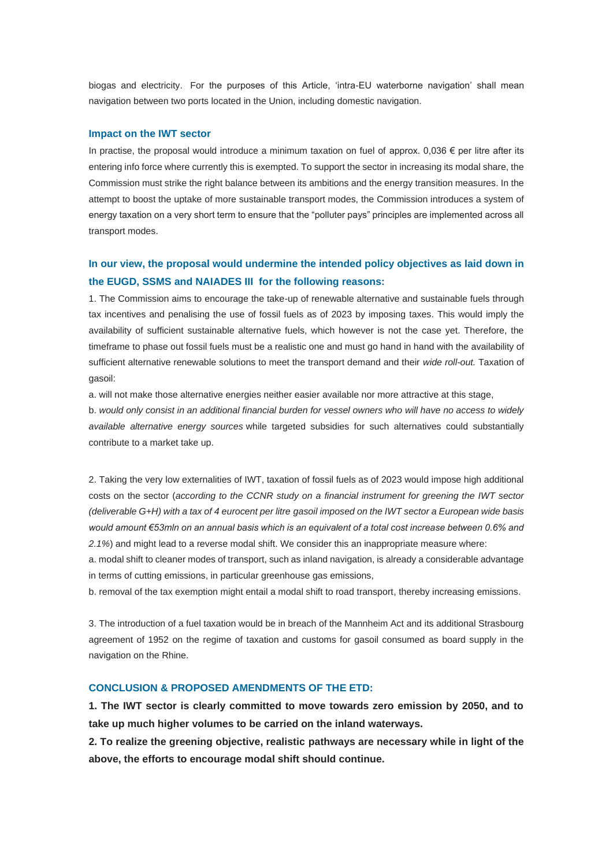biogas and electricity. For the purposes of this Article, 'intra-EU waterborne navigation' shall mean navigation between two ports located in the Union, including domestic navigation.

#### **Impact on the IWT sector**

In practise, the proposal would introduce a minimum taxation on fuel of approx. 0,036  $\epsilon$  per litre after its entering info force where currently this is exempted. To support the sector in increasing its modal share, the Commission must strike the right balance between its ambitions and the energy transition measures. In the attempt to boost the uptake of more sustainable transport modes, the Commission introduces a system of energy taxation on a very short term to ensure that the "polluter pays" principles are implemented across all transport modes.

# **In our view, the proposal would undermine the intended policy objectives as laid down in the EUGD, SSMS and NAIADES III for the following reasons:**

1. The Commission aims to encourage the take-up of renewable alternative and sustainable fuels through tax incentives and penalising the use of fossil fuels as of 2023 by imposing taxes. This would imply the availability of sufficient sustainable alternative fuels, which however is not the case yet. Therefore, the timeframe to phase out fossil fuels must be a realistic one and must go hand in hand with the availability of sufficient alternative renewable solutions to meet the transport demand and their *wide roll-out.* Taxation of gasoil:

a. will not make those alternative energies neither easier available nor more attractive at this stage,

b. *would only consist in an additional financial burden for vessel owners who will have no access to widely available alternative energy sources* while targeted subsidies for such alternatives could substantially contribute to a market take up.

2. Taking the very low externalities of IWT, taxation of fossil fuels as of 2023 would impose high additional costs on the sector (*according to the CCNR study on a financial instrument for greening the IWT sector (deliverable G+H) with a tax of 4 eurocent per litre gasoil imposed on the IWT sector a European wide basis would amount €53mln on an annual basis which is an equivalent of a total cost increase between 0.6% and 2.1%*) and might lead to a reverse modal shift. We consider this an inappropriate measure where:

a. modal shift to cleaner modes of transport, such as inland navigation, is already a considerable advantage in terms of cutting emissions, in particular greenhouse gas emissions,

b. removal of the tax exemption might entail a modal shift to road transport, thereby increasing emissions.

3. The introduction of a fuel taxation would be in breach of the Mannheim Act and its additional Strasbourg agreement of 1952 on the regime of taxation and customs for gasoil consumed as board supply in the navigation on the Rhine.

### **CONCLUSION & PROPOSED AMENDMENTS OF THE ETD:**

**1. The IWT sector is clearly committed to move towards zero emission by 2050, and to take up much higher volumes to be carried on the inland waterways.**

**2. To realize the greening objective, realistic pathways are necessary while in light of the above, the efforts to encourage modal shift should continue.**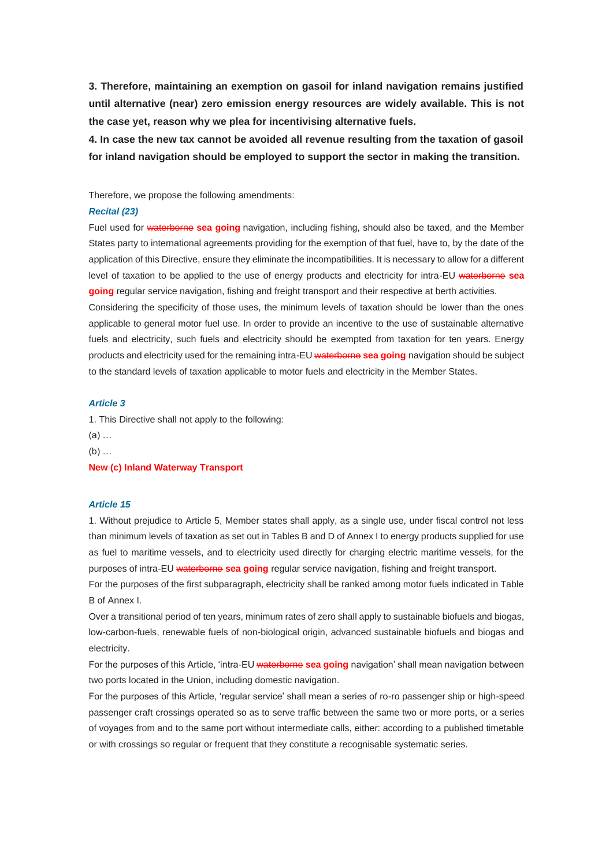**3. Therefore, maintaining an exemption on gasoil for inland navigation remains justified until alternative (near) zero emission energy resources are widely available. This is not the case yet, reason why we plea for incentivising alternative fuels.**

**4. In case the new tax cannot be avoided all revenue resulting from the taxation of gasoil for inland navigation should be employed to support the sector in making the transition.**

Therefore, we propose the following amendments:

#### *Recital (23)*

Fuel used for waterborne **sea going** navigation, including fishing, should also be taxed, and the Member States party to international agreements providing for the exemption of that fuel, have to, by the date of the application of this Directive, ensure they eliminate the incompatibilities. It is necessary to allow for a different level of taxation to be applied to the use of energy products and electricity for intra-EU waterborne **sea going** regular service navigation, fishing and freight transport and their respective at berth activities.

Considering the specificity of those uses, the minimum levels of taxation should be lower than the ones applicable to general motor fuel use. In order to provide an incentive to the use of sustainable alternative fuels and electricity, such fuels and electricity should be exempted from taxation for ten years. Energy products and electricity used for the remaining intra-EU waterborne **sea going** navigation should be subject to the standard levels of taxation applicable to motor fuels and electricity in the Member States.

# *Article 3*

1. This Directive shall not apply to the following:

(a) …

 $(b)$  ...

**New (c) Inland Waterway Transport**

#### *Article 15*

1. Without prejudice to Article 5, Member states shall apply, as a single use, under fiscal control not less than minimum levels of taxation as set out in Tables B and D of Annex I to energy products supplied for use as fuel to maritime vessels, and to electricity used directly for charging electric maritime vessels, for the purposes of intra-EU waterborne **sea going** regular service navigation, fishing and freight transport. For the purposes of the first subparagraph, electricity shall be ranked among motor fuels indicated in Table B of Annex I.

Over a transitional period of ten years, minimum rates of zero shall apply to sustainable biofuels and biogas, low-carbon-fuels, renewable fuels of non-biological origin, advanced sustainable biofuels and biogas and electricity.

For the purposes of this Article, 'intra-EU waterborne **sea going** navigation' shall mean navigation between two ports located in the Union, including domestic navigation.

For the purposes of this Article, 'regular service' shall mean a series of ro-ro passenger ship or high-speed passenger craft crossings operated so as to serve traffic between the same two or more ports, or a series of voyages from and to the same port without intermediate calls, either: according to a published timetable or with crossings so regular or frequent that they constitute a recognisable systematic series.